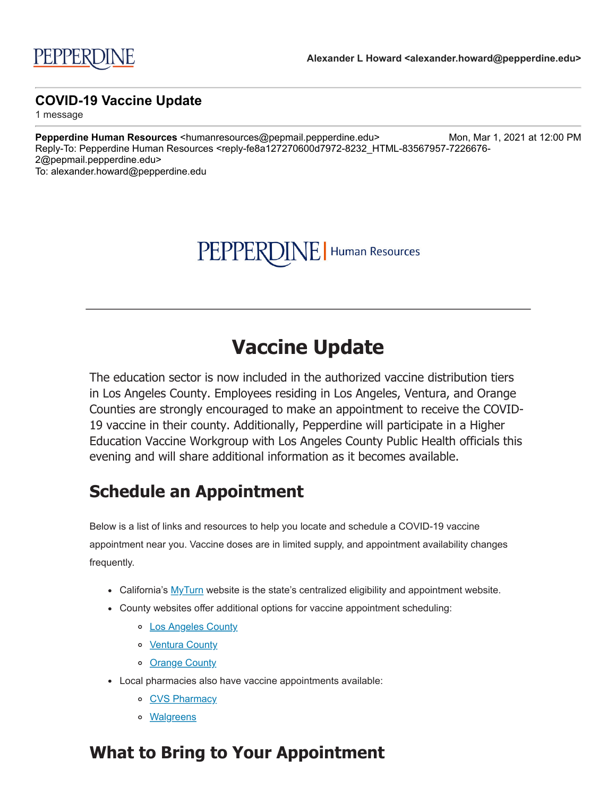# PEPPERDINE | Human Resources

# **Vaccine Update**

The education sector is now included in the authorized vaccine distribution tiers in Los Angeles County. Employees residing in Los Angeles, Ventura, and Orange Counties are strongly encouraged to make an appointment to receive the COVID-19 vaccine in their county. Additionally, Pepperdine will participate in a Higher Education Vaccine Workgroup with Los Angeles County Public Health officials this evening and will share additional information as it becomes available.

## **Schedule an Appointment**

Below is a list of links and resources to help you locate and schedule a COVID-19 vaccine appointment near you. Vaccine doses are in limited supply, and appointment availability changes frequently.

- California's  $MyTurn$  website is the state's centralized eligibility and appointment website.
- County websites offer additional options for vaccine appointment scheduling:
	- o [Los Angeles County](http://click.pepmail.pepperdine.edu/?qs=dbe4c337df3e0e583e021b0112d884c946296a957532ea959851cab2a816cbeab439d66d3d4e11c8db635153571d4514223892c02a1f2b42)
	- o [Ventura County](http://click.pepmail.pepperdine.edu/?qs=057356534b58332a0069a50a8d2c88d1eb77521018a52235ff46654bde31f326c6add41fdfbc24c595c1706015c1a2bf88e74c9202a0b475)
	- o [Orange County](http://click.pepmail.pepperdine.edu/?qs=057356534b58332a26df18d5b806def7405d145ecab8af18831c829fd2877447468f16613e93d9ba2d801b1be572faef6f54869ef692ba2c)
- Local pharmacies also have vaccine appointments available:
	- o [CVS Pharmacy](http://click.pepmail.pepperdine.edu/?qs=057356534b58332a6af846fd33b6fe8cc1ce0aef4f2b856005c50bc01ba7a8ba8bd0e6373e1dc514ecb36fc2f895a2b391e3591e8179c7b4)
	- o **[Walgreens](http://click.pepmail.pepperdine.edu/?qs=057356534b58332a804e184bd70637d81faa09c99ba822bcb81245395b7965c295086fabec5df2e2a8a79c512eb811a19ded87e672522a0f)**

### **What to Bring to Your Appointment**